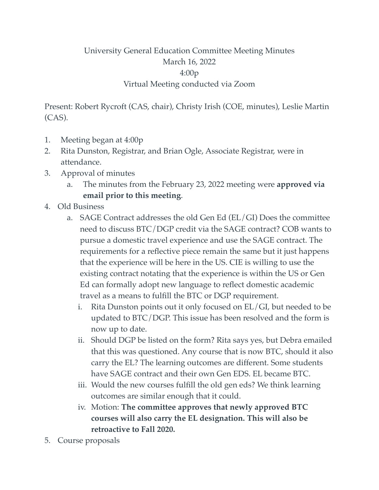## University General Education Committee Meeting Minutes March 16, 2022 4:00p Virtual Meeting conducted via Zoom

Present: Robert Rycroft (CAS, chair), Christy Irish (COE, minutes), Leslie Martin (CAS).

- 1. Meeting began at 4:00p
- 2. Rita Dunston, Registrar, and Brian Ogle, Associate Registrar, were in attendance.
- 3. Approval of minutes
	- a. The minutes from the February 23, 2022 meeting were **approved via email prior to this meeting**.
- 4. Old Business
	- a. SAGE Contract addresses the old Gen Ed (EL/GI) Does the committee need to discuss BTC/DGP credit via the SAGE contract? COB wants to pursue a domestic travel experience and use the SAGE contract. The requirements for a reflective piece remain the same but it just happens that the experience will be here in the US. CIE is willing to use the existing contract notating that the experience is within the US or Gen Ed can formally adopt new language to reflect domestic academic travel as a means to fulfill the BTC or DGP requirement.
		- i. Rita Dunston points out it only focused on EL/GI, but needed to be updated to BTC/DGP. This issue has been resolved and the form is now up to date.
		- ii. Should DGP be listed on the form? Rita says yes, but Debra emailed that this was questioned. Any course that is now BTC, should it also carry the EL? The learning outcomes are different. Some students have SAGE contract and their own Gen EDS. EL became BTC.
		- iii. Would the new courses fulfill the old gen eds? We think learning outcomes are similar enough that it could.
		- iv. Motion: **The committee approves that newly approved BTC courses will also carry the EL designation. This will also be retroactive to Fall 2020.**
- 5. Course proposals